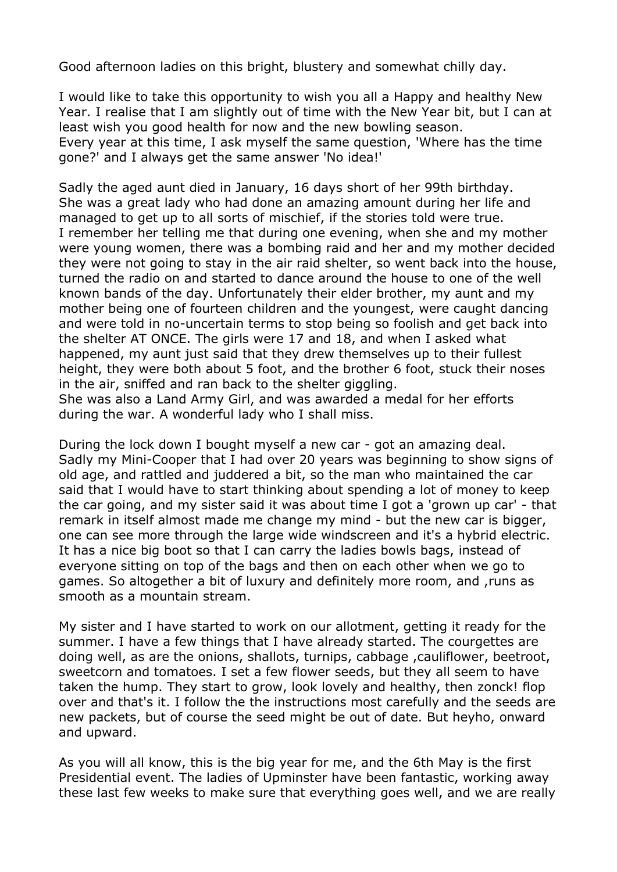Good afternoon ladies on this bright, blustery and somewhat chilly day.

I would like to take this opportunity to wish you all a Happy and healthy New Year. I realise that I am slightly out of time with the New Year bit, but I can at least wish you good health for now and the new bowling season. Every year at this time, I ask myself the same question, 'Where has the time gone?' and I always get the same answer 'No idea!'

Sadly the aged aunt died in January, 16 days short of her 99th birthday. She was a great lady who had done an amazing amount during her life and managed to get up to all sorts of mischief, if the stories told were true. I remember her telling me that during one evening, when she and my mother were young women, there was a bombing raid and her and my mother decided they were not going to stay in the air raid shelter, so went back into the house, turned the radio on and started to dance around the house to one of the well known bands of the day. Unfortunately their elder brother, my aunt and my mother being one of fourteen children and the youngest, were caught dancing and were told in no-uncertain terms to stop being so foolish and get back into the shelter AT ONCE. The girls were 17 and 18, and when I asked what happened, my aunt just said that they drew themselves up to their fullest height, they were both about 5 foot, and the brother 6 foot, stuck their noses in the air, sniffed and ran back to the shelter giggling.

She was also a Land Army Girl, and was awarded a medal for her efforts during the war. A wonderful lady who I shall miss.

During the lock down I bought myself a new car - got an amazing deal. Sadly my Mini-Cooper that I had over 20 years was beginning to show signs of old age, and rattled and juddered a bit, so the man who maintained the car said that I would have to start thinking about spending a lot of money to keep the car going, and my sister said it was about time I got a 'grown up car' - that remark in itself almost made me change my mind - but the new car is bigger, one can see more through the large wide windscreen and it's a hybrid electric. It has a nice big boot so that I can carry the ladies bowls bags, instead of everyone sitting on top of the bags and then on each other when we go to games. So altogether a bit of luxury and definitely more room, and ,runs as smooth as a mountain stream.

My sister and I have started to work on our allotment, getting it ready for the summer. I have a few things that I have already started. The courgettes are doing well, as are the onions, shallots, turnips, cabbage ,cauliflower, beetroot, sweetcorn and tomatoes. I set a few flower seeds, but they all seem to have taken the hump. They start to grow, look lovely and healthy, then zonck! flop over and that's it. I follow the the instructions most carefully and the seeds are new packets, but of course the seed might be out of date. But heyho, onward and upward.

As you will all know, this is the big year for me, and the 6th May is the first Presidential event. The ladies of Upminster have been fantastic, working away these last few weeks to make sure that everything goes well, and we are really